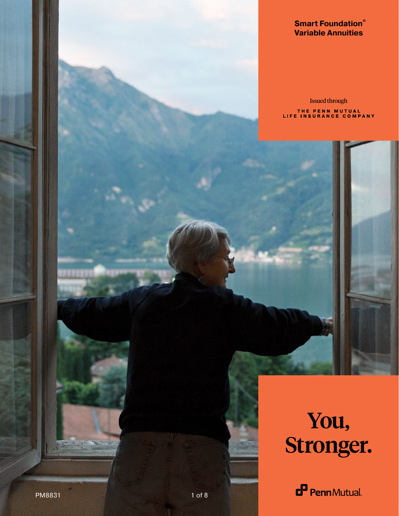### **Smart Foundation® Variable Annuities**

Issued through THE PENN MUTUAL<br>LIFE INSURANCE COMPANY

# You, Stronger.

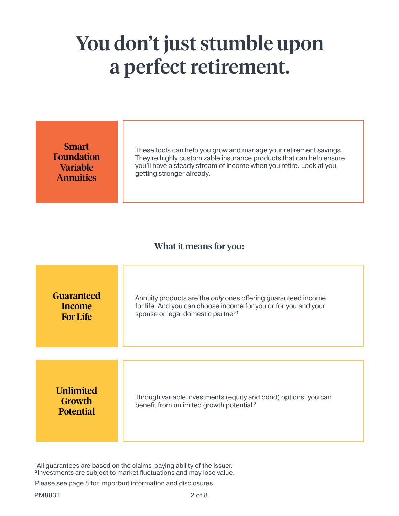### You don't just stumble upon a perfect retirement.

Smart Foundation Variable **Annuities** 

These tools can help you grow and manage your retirement savings. They're highly customizable insurance products that can help ensure you'll have a steady stream of income when you retire. Look at you, getting stronger already.

### What it means for you:

| <b>Guaranteed</b>                              | Annuity products are the only ones offering guaranteed income                                                            |
|------------------------------------------------|--------------------------------------------------------------------------------------------------------------------------|
| Income                                         | for life. And you can choose income for you or for you and your                                                          |
| <b>For Life</b>                                | spouse or legal domestic partner. <sup>1</sup>                                                                           |
| <b>Unlimited</b><br>Growth<br><b>Potential</b> | Through variable investments (equity and bond) options, you can<br>benefit from unlimited growth potential. <sup>2</sup> |

<sup>1</sup>All guarantees are based on the claims-paying ability of the issuer. 2Investments are subject to market fluctuations and may lose value.

Please see page 8 for important information and disclosures.

PM8831 2 of 8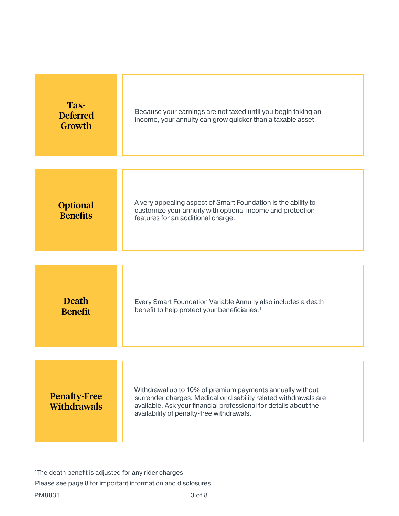| Tax-<br><b>Deferred</b><br>Growth         | Because your earnings are not taxed until you begin taking an<br>income, your annuity can grow quicker than a taxable asset.                                                                                                                   |  |
|-------------------------------------------|------------------------------------------------------------------------------------------------------------------------------------------------------------------------------------------------------------------------------------------------|--|
|                                           |                                                                                                                                                                                                                                                |  |
| <b>Optional</b><br><b>Benefits</b>        | A very appealing aspect of Smart Foundation is the ability to<br>customize your annuity with optional income and protection<br>features for an additional charge.                                                                              |  |
|                                           |                                                                                                                                                                                                                                                |  |
| <b>Death</b><br><b>Benefit</b>            | Every Smart Foundation Variable Annuity also includes a death<br>benefit to help protect your beneficiaries. <sup>1</sup>                                                                                                                      |  |
|                                           |                                                                                                                                                                                                                                                |  |
| <b>Penalty-Free</b><br><b>Withdrawals</b> | Withdrawal up to 10% of premium payments annually without<br>surrender charges. Medical or disability related withdrawals are<br>available. Ask your financial professional for details about the<br>availability of penalty-free withdrawals. |  |

1The death benefit is adjusted for any rider charges.

Please see page 8 for important information and disclosures.

PM8831 3 of 8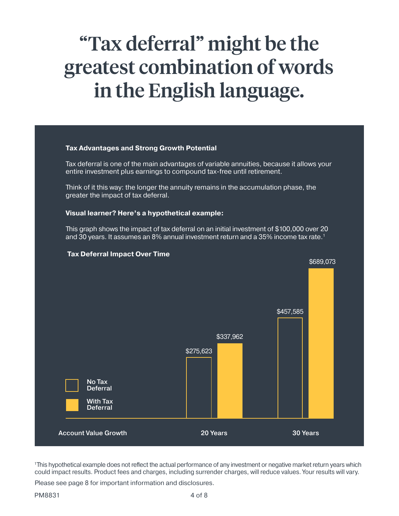## "Tax deferral" might be the greatest combination of words in the English language.

#### **Tax Advantages and Strong Growth Potential**

Tax deferral is one of the main advantages of variable annuities, because it allows your entire investment plus earnings to compound tax-free until retirement.

Think of it this way: the longer the annuity remains in the accumulation phase, the greater the impact of tax deferral.

#### **Visual learner? Here's a hypothetical example:**

This graph shows the impact of tax deferral on an initial investment of \$100,000 over 20 and 30 years. It assumes an 8% annual investment return and a 35% income tax rate.<sup>1</sup>



#### **Tax Deferral Impact Over Time**

<sup>1</sup>This hypothetical example does not reflect the actual performance of any investment or negative market return years which could impact results. Product fees and charges, including surrender charges, will reduce values. Your results will vary.

Please see page 8 for important information and disclosures.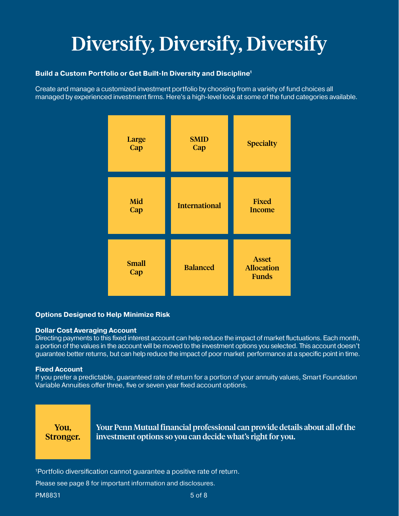# Diversify, Diversify, Diversify

#### **Build a Custom Portfolio or Get Built-In Diversity and Discipline1**

Create and manage a customized investment portfolio by choosing from a variety of fund choices all managed by experienced investment firms. Here's a high-level look at some of the fund categories available.



#### **Options Designed to Help Minimize Risk**

#### **Dollar Cost Averaging Account**

Directing payments to this fixed interest account can help reduce the impact of market fluctuations. Each month, a portion of the values in the account will be moved to the investment options you selected. This account doesn't guarantee better returns, but can help reduce the impact of poor market performance at a specific point in time.

#### **Fixed Account**

If you prefer a predictable, guaranteed rate of return for a portion of your annuity values, Smart Foundation Variable Annuities offer three, five or seven year fixed account options.

You, Stronger. Your Penn Mutual financial professional can provide details about all of the investment options so you can decide what's right for you.

1Portfolio diversification cannot guarantee a positive rate of return.

Please see page 8 for important information and disclosures.

PM8831 5 of 8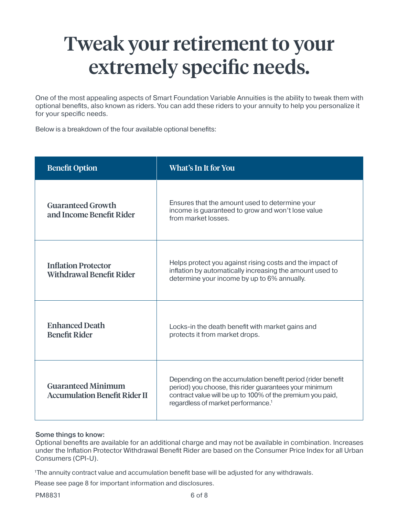### Tweak your retirement to your extremely specific needs.

One of the most appealing aspects of Smart Foundation Variable Annuities is the ability to tweak them with optional benefits, also known as riders. You can add these riders to your annuity to help you personalize it for your specific needs.

Below is a breakdown of the four available optional benefits:

| <b>Benefit Option</b>                                             | What's In It for You                                                                                                                                                                                                                  |  |
|-------------------------------------------------------------------|---------------------------------------------------------------------------------------------------------------------------------------------------------------------------------------------------------------------------------------|--|
| <b>Guaranteed Growth</b><br>and Income Benefit Rider              | Ensures that the amount used to determine your<br>income is guaranteed to grow and won't lose value<br>from market losses.                                                                                                            |  |
| <b>Inflation Protector</b><br><b>Withdrawal Benefit Rider</b>     | Helps protect you against rising costs and the impact of<br>inflation by automatically increasing the amount used to<br>determine your income by up to 6% annually.                                                                   |  |
| <b>Enhanced Death</b><br><b>Benefit Rider</b>                     | Locks-in the death benefit with market gains and<br>protects it from market drops.                                                                                                                                                    |  |
| <b>Guaranteed Minimum</b><br><b>Accumulation Benefit Rider II</b> | Depending on the accumulation benefit period (rider benefit<br>period) you choose, this rider guarantees your minimum<br>contract value will be up to 100% of the premium you paid,<br>regardless of market performance. <sup>1</sup> |  |

#### Some things to know:

Optional benefits are available for an additional charge and may not be available in combination. Increases under the Inflation Protector Withdrawal Benefit Rider are based on the Consumer Price Index for all Urban Consumers (CPI-U).

1The annuity contract value and accumulation benefit base will be adjusted for any withdrawals.

Please see page 8 for important information and disclosures.

PM8831 6 of 8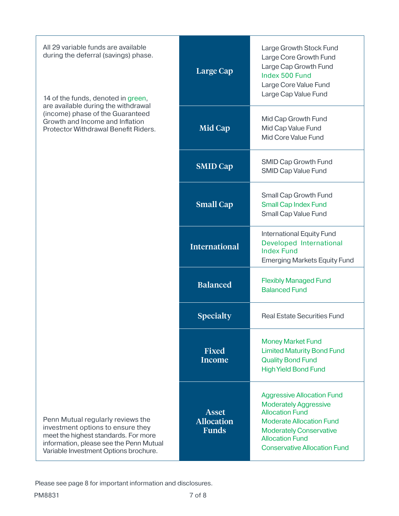| All 29 variable funds are available<br>during the deferral (savings) phase.<br>14 of the funds, denoted in green,                                                                                  | Large Cap                                         | Large Growth Stock Fund<br>Large Core Growth Fund<br>Large Cap Growth Fund<br>Index 500 Fund<br>Large Core Value Fund<br>Large Cap Value Fund                                                                                     |
|----------------------------------------------------------------------------------------------------------------------------------------------------------------------------------------------------|---------------------------------------------------|-----------------------------------------------------------------------------------------------------------------------------------------------------------------------------------------------------------------------------------|
| are available during the withdrawal<br>(income) phase of the Guaranteed<br>Growth and Income and Inflation<br>Protector Withdrawal Benefit Riders.                                                 | Mid Cap                                           | Mid Cap Growth Fund<br>Mid Cap Value Fund<br>Mid Core Value Fund                                                                                                                                                                  |
|                                                                                                                                                                                                    | <b>SMID Cap</b>                                   | <b>SMID Cap Growth Fund</b><br><b>SMID Cap Value Fund</b>                                                                                                                                                                         |
|                                                                                                                                                                                                    | <b>Small Cap</b>                                  | Small Cap Growth Fund<br><b>Small Cap Index Fund</b><br>Small Cap Value Fund                                                                                                                                                      |
|                                                                                                                                                                                                    | <b>International</b>                              | <b>International Equity Fund</b><br>Developed International<br><b>Index Fund</b><br><b>Emerging Markets Equity Fund</b>                                                                                                           |
|                                                                                                                                                                                                    | <b>Balanced</b>                                   | <b>Flexibly Managed Fund</b><br><b>Balanced Fund</b>                                                                                                                                                                              |
|                                                                                                                                                                                                    | <b>Specialty</b>                                  | <b>Real Estate Securities Fund</b>                                                                                                                                                                                                |
|                                                                                                                                                                                                    | <b>Fixed</b><br><b>Income</b>                     | <b>Money Market Fund</b><br><b>Limited Maturity Bond Fund</b><br><b>Quality Bond Fund</b><br><b>High Yield Bond Fund</b>                                                                                                          |
| Penn Mutual regularly reviews the<br>investment options to ensure they<br>meet the highest standards. For more<br>information, please see the Penn Mutual<br>Variable Investment Options brochure. | <b>Asset</b><br><b>Allocation</b><br><b>Funds</b> | <b>Aggressive Allocation Fund</b><br><b>Moderately Aggressive</b><br><b>Allocation Fund</b><br><b>Moderate Allocation Fund</b><br><b>Moderately Conservative</b><br><b>Allocation Fund</b><br><b>Conservative Allocation Fund</b> |

Please see page 8 for important information and disclosures.